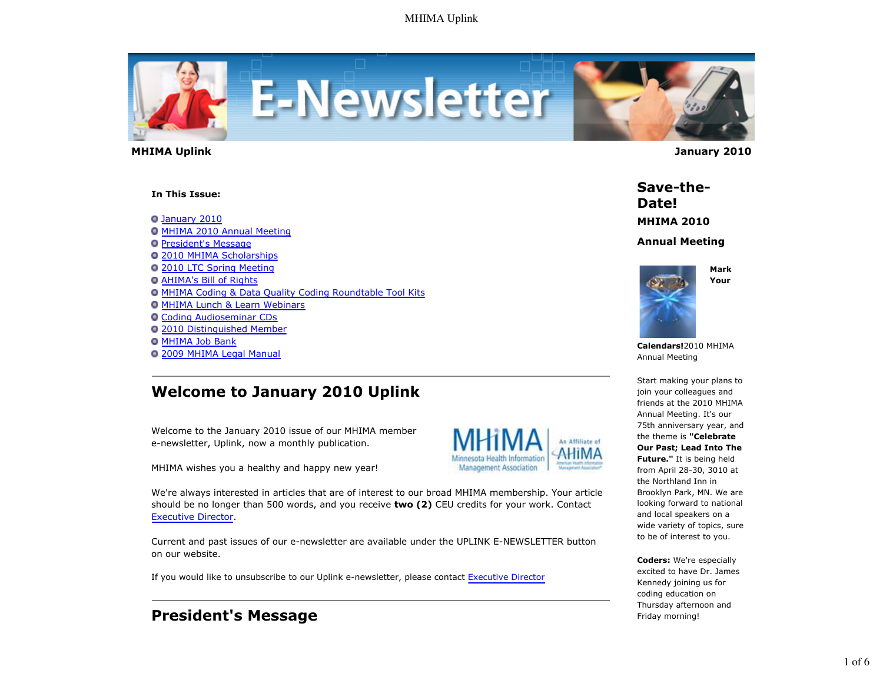

 **MHIMA Uplink January 2010** 

**In This Issue:**

January 2010 **O MHIMA 2010 Annual Meeting President's Message** 2010 MHIMA Scholarships **0 2010 LTC Spring Meeting** AHIMA's Bill of Rights MHIMA Coding & Data Quality Coding Roundtable Tool Kits **O MHIMA Lunch & Learn Webinars** Coding Audioseminar CDs 2010 Distinguished Member **O MHIMA Job Bank** 2009 MHIMA Legal Manual

# **Welcome to January 2010 Uplink**

Welcome to the January 2010 issue of our MHIMA member e-newsletter, Uplink, now a monthly publication.

MHIMA wishes you a healthy and happy new year!



We're always interested in articles that are of interest to our broad MHIMA membership. Your article should be no longer than 500 words, and you receive **two (2)** CEU credits for your work. Contact Executive Director.

Current and past issues of our e-newsletter are available under the UPLINK E-NEWSLETTER button on our website.

If you would like to unsubscribe to our Uplink e-newsletter, please contact Executive Director

# **President's Message**

**Save-the-Date! MHIMA 2010**

**Annual Meeting**



**Mark Your**

**Calendars!**2010 MHIMA Annual Meeting

Start making your plans to join your colleagues and friends at the 2010 MHIMA Annual Meeting. It's our 75th anniversary year, and the theme is **"Celebrate Our Past; Lead Into The Future."** It is being held from April 28-30, 3010 at the Northland Inn in Brooklyn Park, MN. We are looking forward to national and local speakers on a wide variety of topics, sure to be of interest to you.

**Coders:** We're especially excited to have Dr. James Kennedy joining us for coding education on Thursday afternoon and Friday morning!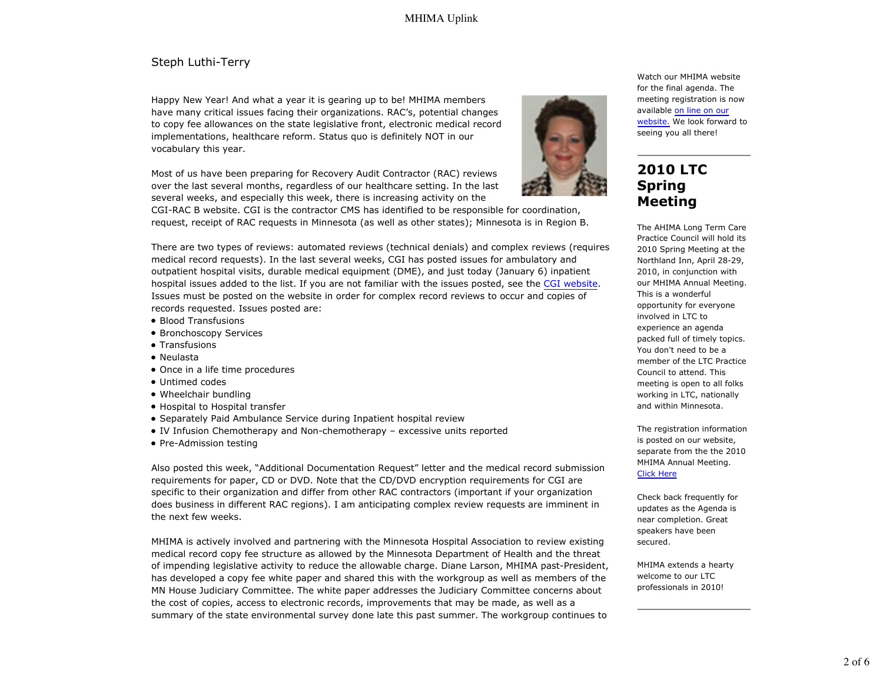### Steph Luthi-Terry

Happy New Year! And what a year it is gearing up to be! MHIMA members have many critical issues facing their organizations. RAC's, potential changes to copy fee allowances on the state legislative front, electronic medical record implementations, healthcare reform. Status quo is definitely NOT in our vocabulary this year.

Most of us have been preparing for Recovery Audit Contractor (RAC) reviews over the last several months, regardless of our healthcare setting. In the last several weeks, and especially this week, there is increasing activity on the

CGI-RAC B website. CGI is the contractor CMS has identified to be responsible for coordination, request, receipt of RAC requests in Minnesota (as well as other states); Minnesota is in Region B.



for the final agenda. The meeting registration is now available on line on our website. We look forward to seeing you all there!

Watch our MHIMA website

## **2010 LTC Spring Meeting**

The AHIMA Long Term Care Practice Council will hold its 2010 Spring Meeting at the Northland Inn, April 28-29, 2010, in conjunction with our MHIMA Annual Meeting. This is a wonderful opportunity for everyone involved in LTC to experience an agenda packed full of timely topics. You don't need to be a member of the LTC Practice Council to attend. This meeting is open to all folks working in LTC, nationally and within Minnesota.

The registration information is posted on our website, separate from the the 2010 MHIMA Annual Meeting. Click Here

Check back frequently for updates as the Agenda is near completion. Great speakers have been secured.

MHIMA extends a hearty welcome to our LTC professionals in 2010!

There are two types of reviews: automated reviews (technical denials) and complex reviews (requires medical record requests). In the last several weeks, CGI has posted issues for ambulatory and outpatient hospital visits, durable medical equipment (DME), and just today (January 6) inpatient hospital issues added to the list. If you are not familiar with the issues posted, see the CGI website. Issues must be posted on the website in order for complex record reviews to occur and copies of records requested. Issues posted are:

- Blood Transfusions
- Bronchoscopy Services
- Transfusions
- Neulasta
- Once in a life time procedures
- Untimed codes
- Wheelchair bundling
- Hospital to Hospital transfer
- Separately Paid Ambulance Service during Inpatient hospital review
- IV Infusion Chemotherapy and Non-chemotherapy excessive units reported
- Pre-Admission testing

Also posted this week, "Additional Documentation Request" letter and the medical record submission requirements for paper, CD or DVD. Note that the CD/DVD encryption requirements for CGI are specific to their organization and differ from other RAC contractors (important if your organization does business in different RAC regions). I am anticipating complex review requests are imminent in the next few weeks.

MHIMA is actively involved and partnering with the Minnesota Hospital Association to review existing medical record copy fee structure as allowed by the Minnesota Department of Health and the threat of impending legislative activity to reduce the allowable charge. Diane Larson, MHIMA past-President, has developed a copy fee white paper and shared this with the workgroup as well as members of the MN House Judiciary Committee. The white paper addresses the Judiciary Committee concerns about the cost of copies, access to electronic records, improvements that may be made, as well as a summary of the state environmental survey done late this past summer. The workgroup continues to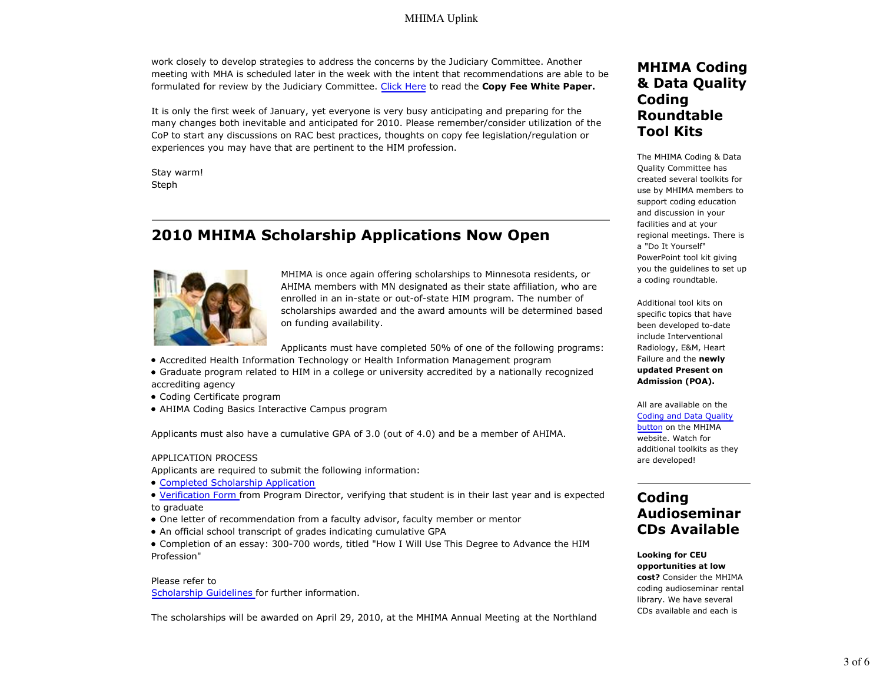### MHIMA Uplink

work closely to develop strategies to address the concerns by the Judiciary Committee. Another meeting with MHA is scheduled later in the week with the intent that recommendations are able to be formulated for review by the Judiciary Committee. Click Here to read the **Copy Fee White Paper.**

It is only the first week of January, yet everyone is very busy anticipating and preparing for the many changes both inevitable and anticipated for 2010. Please remember/consider utilization of the CoP to start any discussions on RAC best practices, thoughts on copy fee legislation/regulation or experiences you may have that are pertinent to the HIM profession.

Stay warm! Steph

# **2010 MHIMA Scholarship Applications Now Open**



MHIMA is once again offering scholarships to Minnesota residents, or AHIMA members with MN designated as their state affiliation, who are enrolled in an in-state or out-of-state HIM program. The number of scholarships awarded and the award amounts will be determined based on funding availability.

Applicants must have completed 50% of one of the following programs:

- Accredited Health Information Technology or Health Information Management program
- Graduate program related to HIM in a college or university accredited by a nationally recognized accrediting agency
- Coding Certificate program
- AHIMA Coding Basics Interactive Campus program

Applicants must also have a cumulative GPA of 3.0 (out of 4.0) and be a member of AHIMA.

#### APPLICATION PROCESS

Applicants are required to submit the following information:

Completed Scholarship Application

Verification Form from Program Director, verifying that student is in their last year and is expected to graduate

- One letter of recommendation from a faculty advisor, faculty member or mentor
- An official school transcript of grades indicating cumulative GPA
- Completion of an essay: 300-700 words, titled "How I Will Use This Degree to Advance the HIM Profession"

### Please refer to Scholarship Guidelines for further information.

The scholarships will be awarded on April 29, 2010, at the MHIMA Annual Meeting at the Northland

## **MHIMA Coding & Data Quality Coding Roundtable Tool Kits**

The MHIMA Coding & Data Quality Committee has created several toolkits for use by MHIMA members to support coding education and discussion in your facilities and at your regional meetings. There is a "Do It Yourself" PowerPoint tool kit giving you the guidelines to set up a coding roundtable.

Additional tool kits on specific topics that have been developed to-date include Interventional Radiology, E&M, Heart Failure and the **newly updated Present on Admission (POA).**

All are available on the Coding and Data Quality button on the MHIMA website. Watch for additional toolkits as they are developed!

# **Coding Audioseminar CDs Available**

#### **Looking for CEU opportunities at low cost?** Consider the MHIMA coding audioseminar rental library. We have several CDs available and each is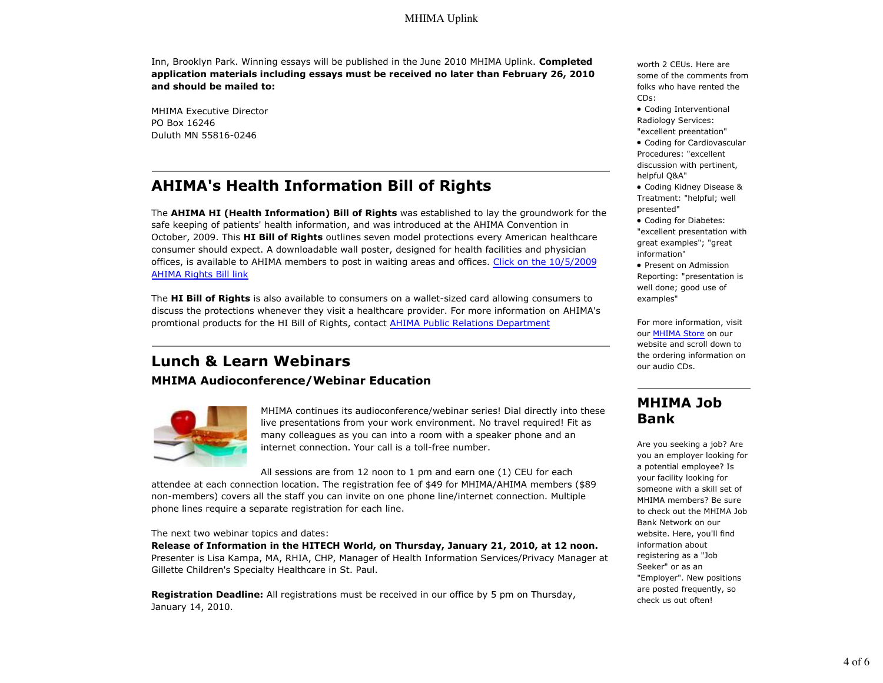Inn, Brooklyn Park. Winning essays will be published in the June 2010 MHIMA Uplink. **Completed application materials including essays must be received no later than February 26, 2010 and should be mailed to:**

MHIMA Executive Director PO Box 16246 Duluth MN 55816-0246

# **AHIMA's Health Information Bill of Rights**

The **AHIMA HI (Health Information) Bill of Rights** was established to lay the groundwork for the safe keeping of patients' health information, and was introduced at the AHIMA Convention in October, 2009. This **HI Bill of Rights** outlines seven model protections every American healthcare consumer should expect. A downloadable wall poster, designed for health facilities and physician offices, is available to AHIMA members to post in waiting areas and offices. Click on the 10/5/2009 AHIMA Rights Bill link

The **HI Bill of Rights** is also available to consumers on a wallet-sized card allowing consumers to discuss the protections whenever they visit a healthcare provider. For more information on AHIMA's promtional products for the HI Bill of Rights, contact AHIMA Public Relations Department

# **Lunch & Learn Webinars**

**MHIMA Audioconference/Webinar Education**



MHIMA continues its audioconference/webinar series! Dial directly into these live presentations from your work environment. No travel required! Fit as many colleagues as you can into a room with a speaker phone and an internet connection. Your call is a toll-free number.

All sessions are from 12 noon to 1 pm and earn one (1) CEU for each

attendee at each connection location. The registration fee of \$49 for MHIMA/AHIMA members (\$89 non-members) covers all the staff you can invite on one phone line/internet connection. Multiple phone lines require a separate registration for each line.

#### The next two webinar topics and dates:

**Release of Information in the HITECH World, on Thursday, January 21, 2010, at 12 noon.** Presenter is Lisa Kampa, MA, RHIA, CHP, Manager of Health Information Services/Privacy Manager at Gillette Children's Specialty Healthcare in St. Paul.

**Registration Deadline:** All registrations must be received in our office by 5 pm on Thursday, January 14, 2010.

worth 2 CEUs. Here are some of the comments from folks who have rented the CDs:

Coding Interventional Radiology Services: "excellent preentation"

Coding for Cardiovascular Procedures: "excellent discussion with pertinent, helpful Q&A"

Coding Kidney Disease & Treatment: "helpful; well presented"

Coding for Diabetes: "excellent presentation with great examples"; "great information"

• Present on Admission Reporting: "presentation is well done; good use of examples"

For more information, visit our MHIMA Store on our website and scroll down to the ordering information on our audio CDs.

## **MHIMA Job Bank**

Are you seeking a job? Are you an employer looking for a potential employee? Is your facility looking for someone with a skill set of MHIMA members? Be sure to check out the MHIMA Job Bank Network on our website. Here, you'll find information about registering as a "Job Seeker" or as an "Employer". New positions are posted frequently, so check us out often!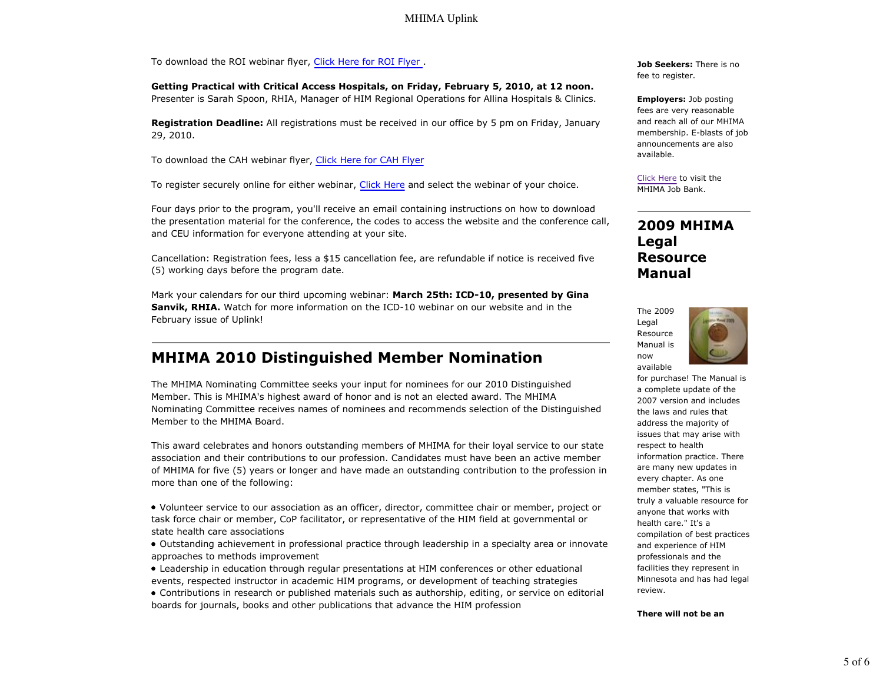### MHIMA Uplink

To download the ROI webinar flyer, Click Here for ROI Flyer .

**Getting Practical with Critical Access Hospitals, on Friday, February 5, 2010, at 12 noon.** Presenter is Sarah Spoon, RHIA, Manager of HIM Regional Operations for Allina Hospitals & Clinics.

**Registration Deadline:** All registrations must be received in our office by 5 pm on Friday, January 29, 2010.

To download the CAH webinar flyer, Click Here for CAH Flyer

To register securely online for either webinar, Click Here and select the webinar of your choice.

Four days prior to the program, you'll receive an email containing instructions on how to download the presentation material for the conference, the codes to access the website and the conference call, and CEU information for everyone attending at your site.

Cancellation: Registration fees, less a \$15 cancellation fee, are refundable if notice is received five (5) working days before the program date.

Mark your calendars for our third upcoming webinar: **March 25th: ICD-10, presented by Gina Sanvik, RHIA.** Watch for more information on the ICD-10 webinar on our website and in the February issue of Uplink!

### **MHIMA 2010 Distinguished Member Nomination**

The MHIMA Nominating Committee seeks your input for nominees for our 2010 Distinguished Member. This is MHIMA's highest award of honor and is not an elected award. The MHIMA Nominating Committee receives names of nominees and recommends selection of the Distinguished Member to the MHIMA Board.

This award celebrates and honors outstanding members of MHIMA for their loyal service to our state association and their contributions to our profession. Candidates must have been an active member of MHIMA for five (5) years or longer and have made an outstanding contribution to the profession in more than one of the following:

Volunteer service to our association as an officer, director, committee chair or member, project or task force chair or member, CoP facilitator, or representative of the HIM field at governmental or state health care associations

Outstanding achievement in professional practice through leadership in a specialty area or innovate approaches to methods improvement

Leadership in education through regular presentations at HIM conferences or other eduational events, respected instructor in academic HIM programs, or development of teaching strategies

Contributions in research or published materials such as authorship, editing, or service on editorial boards for journals, books and other publications that advance the HIM profession

**Job Seekers:** There is no fee to register.

**Employers:** Job posting fees are very reasonable and reach all of our MHIMA membership. E-blasts of job announcements are also available.

Click Here to visit the MHIMA Job Bank.

## **2009 MHIMA Legal Resource Manual**



for purchase! The Manual is a complete update of the 2007 version and includes the laws and rules that address the majority of issues that may arise with respect to health information practice. There are many new updates in every chapter. As one member states, "This is truly a valuable resource for anyone that works with health care." It's a compilation of best practices and experience of HIM professionals and the facilities they represent in Minnesota and has had legal review.

**There will not be an**